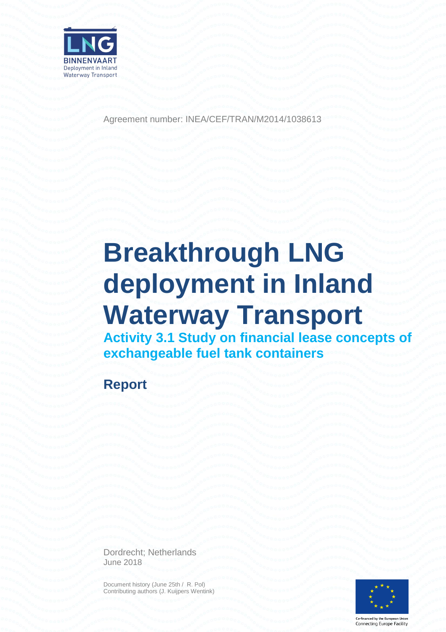

Agreement number: INEA/CEF/TRAN/M2014/1038613

# **Breakthrough LNG deployment in Inland Waterway Transport**

**Activity 3.1 Study on financial lease concepts of exchangeable fuel tank containers**

**Report**

Dordrecht; Netherlands June 2018

Document history (June 25th / R. Pol) Contributing authors (J. Kuijpers Wentink)



Co-financed by the European Union Connecting Europe Facility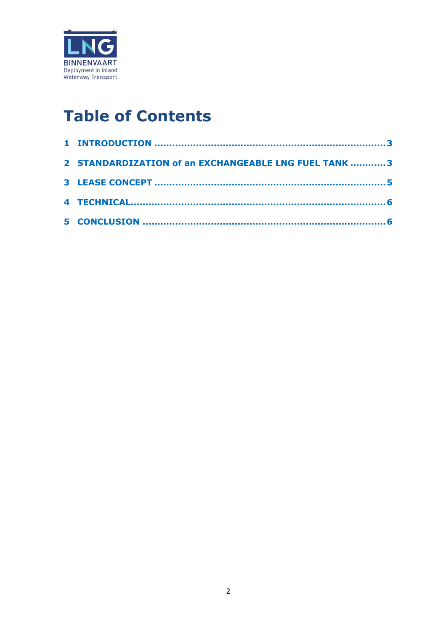

# **Table of Contents**

| 2 STANDARDIZATION of an EXCHANGEABLE LNG FUEL TANK 3 |  |
|------------------------------------------------------|--|
|                                                      |  |
|                                                      |  |
|                                                      |  |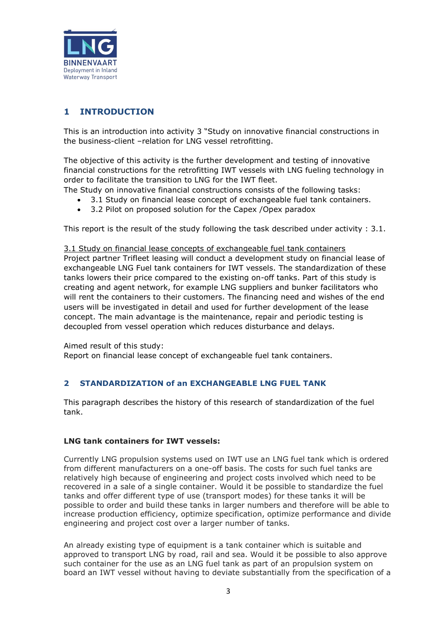

# <span id="page-2-0"></span>**1 INTRODUCTION**

This is an introduction into activity 3 "Study on innovative financial constructions in the business-client –relation for LNG vessel retrofitting.

The objective of this activity is the further development and testing of innovative financial constructions for the retrofitting IWT vessels with LNG fueling technology in order to facilitate the transition to LNG for the IWT fleet.

The Study on innovative financial constructions consists of the following tasks:

- 3.1 Study on financial lease concept of exchangeable fuel tank containers.
- 3.2 Pilot on proposed solution for the Capex /Opex paradox

This report is the result of the study following the task described under activity : 3.1.

3.1 Study on financial lease concepts of exchangeable fuel tank containers Project partner Trifleet leasing will conduct a development study on financial lease of exchangeable LNG Fuel tank containers for IWT vessels. The standardization of these tanks lowers their price compared to the existing on-off tanks. Part of this study is creating and agent network, for example LNG suppliers and bunker facilitators who will rent the containers to their customers. The financing need and wishes of the end users will be investigated in detail and used for further development of the lease concept. The main advantage is the maintenance, repair and periodic testing is decoupled from vessel operation which reduces disturbance and delays.

Aimed result of this study:

<span id="page-2-1"></span>Report on financial lease concept of exchangeable fuel tank containers.

## **2 STANDARDIZATION of an EXCHANGEABLE LNG FUEL TANK**

This paragraph describes the history of this research of standardization of the fuel tank.

#### **LNG tank containers for IWT vessels:**

Currently LNG propulsion systems used on IWT use an LNG fuel tank which is ordered from different manufacturers on a one-off basis. The costs for such fuel tanks are relatively high because of engineering and project costs involved which need to be recovered in a sale of a single container. Would it be possible to standardize the fuel tanks and offer different type of use (transport modes) for these tanks it will be possible to order and build these tanks in larger numbers and therefore will be able to increase production efficiency, optimize specification, optimize performance and divide engineering and project cost over a larger number of tanks.

An already existing type of equipment is a tank container which is suitable and approved to transport LNG by road, rail and sea. Would it be possible to also approve such container for the use as an LNG fuel tank as part of an propulsion system on board an IWT vessel without having to deviate substantially from the specification of a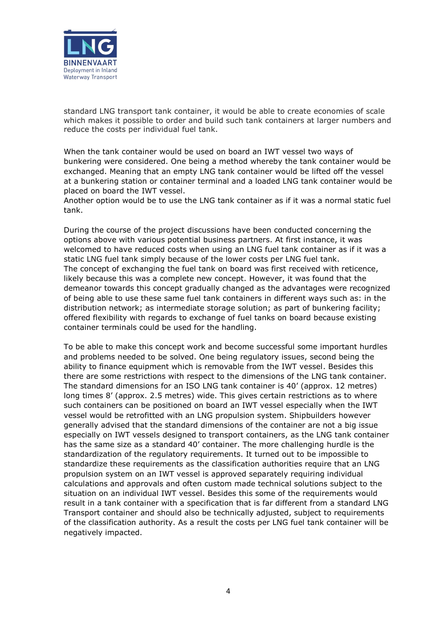

standard LNG transport tank container, it would be able to create economies of scale which makes it possible to order and build such tank containers at larger numbers and reduce the costs per individual fuel tank.

When the tank container would be used on board an IWT vessel two ways of bunkering were considered. One being a method whereby the tank container would be exchanged. Meaning that an empty LNG tank container would be lifted off the vessel at a bunkering station or container terminal and a loaded LNG tank container would be placed on board the IWT vessel.

Another option would be to use the LNG tank container as if it was a normal static fuel tank.

During the course of the project discussions have been conducted concerning the options above with various potential business partners. At first instance, it was welcomed to have reduced costs when using an LNG fuel tank container as if it was a static LNG fuel tank simply because of the lower costs per LNG fuel tank. The concept of exchanging the fuel tank on board was first received with reticence, likely because this was a complete new concept. However, it was found that the demeanor towards this concept gradually changed as the advantages were recognized of being able to use these same fuel tank containers in different ways such as: in the distribution network; as intermediate storage solution; as part of bunkering facility; offered flexibility with regards to exchange of fuel tanks on board because existing container terminals could be used for the handling.

To be able to make this concept work and become successful some important hurdles and problems needed to be solved. One being regulatory issues, second being the ability to finance equipment which is removable from the IWT vessel. Besides this there are some restrictions with respect to the dimensions of the LNG tank container. The standard dimensions for an ISO LNG tank container is 40' (approx. 12 metres) long times 8' (approx. 2.5 metres) wide. This gives certain restrictions as to where such containers can be positioned on board an IWT vessel especially when the IWT vessel would be retrofitted with an LNG propulsion system. Shipbuilders however generally advised that the standard dimensions of the container are not a big issue especially on IWT vessels designed to transport containers, as the LNG tank container has the same size as a standard 40' container. The more challenging hurdle is the standardization of the regulatory requirements. It turned out to be impossible to standardize these requirements as the classification authorities require that an LNG propulsion system on an IWT vessel is approved separately requiring individual calculations and approvals and often custom made technical solutions subject to the situation on an individual IWT vessel. Besides this some of the requirements would result in a tank container with a specification that is far different from a standard LNG Transport container and should also be technically adjusted, subject to requirements of the classification authority. As a result the costs per LNG fuel tank container will be negatively impacted.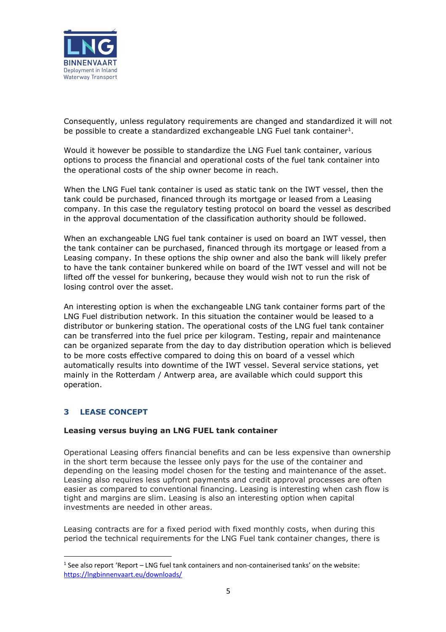

Consequently, unless regulatory requirements are changed and standardized it will not be possible to create a standardized exchangeable LNG Fuel tank container<sup>1</sup>.

Would it however be possible to standardize the LNG Fuel tank container, various options to process the financial and operational costs of the fuel tank container into the operational costs of the ship owner become in reach.

When the LNG Fuel tank container is used as static tank on the IWT vessel, then the tank could be purchased, financed through its mortgage or leased from a Leasing company. In this case the regulatory testing protocol on board the vessel as described in the approval documentation of the classification authority should be followed.

When an exchangeable LNG fuel tank container is used on board an IWT vessel, then the tank container can be purchased, financed through its mortgage or leased from a Leasing company. In these options the ship owner and also the bank will likely prefer to have the tank container bunkered while on board of the IWT vessel and will not be lifted off the vessel for bunkering, because they would wish not to run the risk of losing control over the asset.

An interesting option is when the exchangeable LNG tank container forms part of the LNG Fuel distribution network. In this situation the container would be leased to a distributor or bunkering station. The operational costs of the LNG fuel tank container can be transferred into the fuel price per kilogram. Testing, repair and maintenance can be organized separate from the day to day distribution operation which is believed to be more costs effective compared to doing this on board of a vessel which automatically results into downtime of the IWT vessel. Several service stations, yet mainly in the Rotterdam / Antwerp area, are available which could support this operation.

## <span id="page-4-0"></span>**3 LEASE CONCEPT**

-

#### **Leasing versus buying an LNG FUEL tank container**

Operational Leasing offers financial benefits and can be less expensive than ownership in the short term because the lessee only pays for the use of the container and depending on the leasing model chosen for the testing and maintenance of the asset. Leasing also requires less upfront payments and credit approval processes are often easier as compared to conventional financing. Leasing is interesting when cash flow is tight and margins are slim. Leasing is also an interesting option when capital investments are needed in other areas.

Leasing contracts are for a fixed period with fixed monthly costs, when during this period the technical requirements for the LNG Fuel tank container changes, there is

<sup>&</sup>lt;sup>1</sup> See also report 'Report – LNG fuel tank containers and non-containerised tanks' on the website: <https://lngbinnenvaart.eu/downloads/>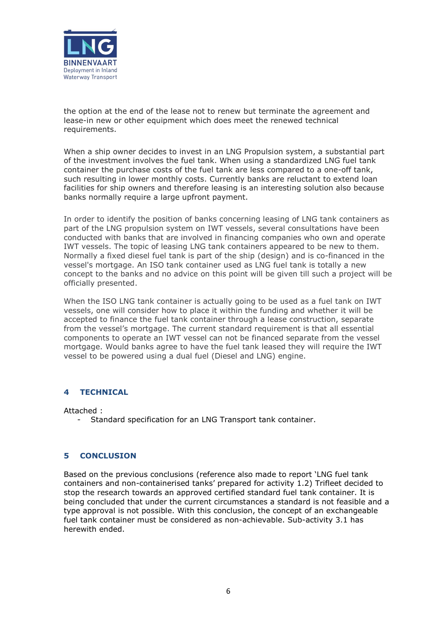

the option at the end of the lease not to renew but terminate the agreement and lease-in new or other equipment which does meet the renewed technical requirements.

When a ship owner decides to invest in an LNG Propulsion system, a substantial part of the investment involves the fuel tank. When using a standardized LNG fuel tank container the purchase costs of the fuel tank are less compared to a one-off tank, such resulting in lower monthly costs. Currently banks are reluctant to extend loan facilities for ship owners and therefore leasing is an interesting solution also because banks normally require a large upfront payment.

In order to identify the position of banks concerning leasing of LNG tank containers as part of the LNG propulsion system on IWT vessels, several consultations have been conducted with banks that are involved in financing companies who own and operate IWT vessels. The topic of leasing LNG tank containers appeared to be new to them. Normally a fixed diesel fuel tank is part of the ship (design) and is co-financed in the vessel's mortgage. An ISO tank container used as LNG fuel tank is totally a new concept to the banks and no advice on this point will be given till such a project will be officially presented.

When the ISO LNG tank container is actually going to be used as a fuel tank on IWT vessels, one will consider how to place it within the funding and whether it will be accepted to finance the fuel tank container through a lease construction, separate from the vessel's mortgage. The current standard requirement is that all essential components to operate an IWT vessel can not be financed separate from the vessel mortgage. Would banks agree to have the fuel tank leased they will require the IWT vessel to be powered using a dual fuel (Diesel and LNG) engine.

#### <span id="page-5-0"></span>**4 TECHNICAL**

Attached :

- Standard specification for an LNG Transport tank container.

#### <span id="page-5-1"></span>**5 CONCLUSION**

Based on the previous conclusions (reference also made to report 'LNG fuel tank containers and non-containerised tanks' prepared for activity 1.2) Trifleet decided to stop the research towards an approved certified standard fuel tank container. It is being concluded that under the current circumstances a standard is not feasible and a type approval is not possible. With this conclusion, the concept of an exchangeable fuel tank container must be considered as non-achievable. Sub-activity 3.1 has herewith ended.